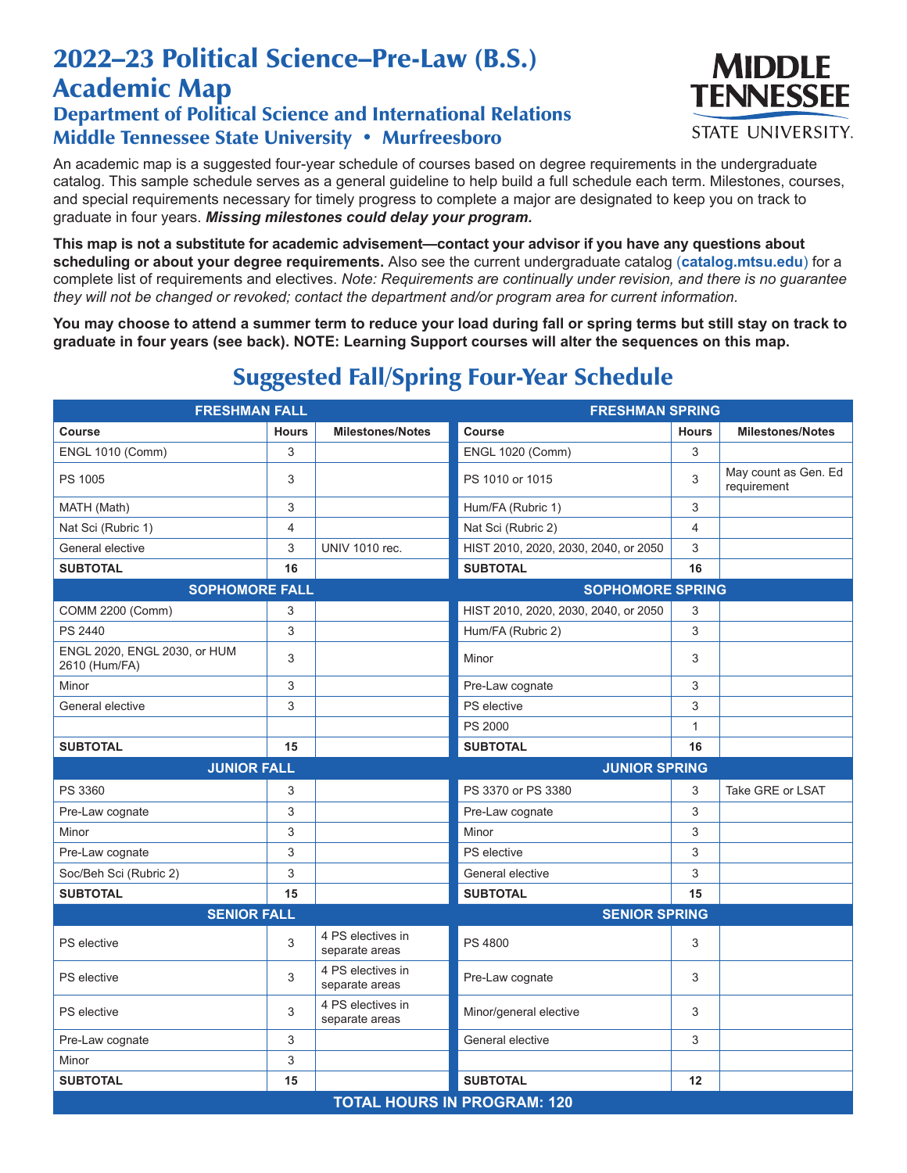## 2022–23 Political Science–Pre-Law (B.S.) Academic Map

## Department of Political Science and International Relations Middle Tennessee State University • Murfreesboro



An academic map is a suggested four-year schedule of courses based on degree requirements in the undergraduate catalog. This sample schedule serves as a general guideline to help build a full schedule each term. Milestones, courses, and special requirements necessary for timely progress to complete a major are designated to keep you on track to graduate in four years. *Missing milestones could delay your program.*

**This map is not a substitute for academic advisement—contact your advisor if you have any questions about scheduling or about your degree requirements.** Also see the current undergraduate catalog (**catalog.mtsu.edu**) for a complete list of requirements and electives. *Note: Requirements are continually under revision, and there is no guarantee they will not be changed or revoked; contact the department and/or program area for current information.*

**You may choose to attend a summer term to reduce your load during fall or spring terms but still stay on track to graduate in four years (see back). NOTE: Learning Support courses will alter the sequences on this map.**

| <b>FRESHMAN FALL</b>                          |                                    |                                     | <b>FRESHMAN SPRING</b>               |              |                                     |  |  |  |
|-----------------------------------------------|------------------------------------|-------------------------------------|--------------------------------------|--------------|-------------------------------------|--|--|--|
| Course                                        | <b>Hours</b>                       | <b>Milestones/Notes</b>             | Course                               | <b>Hours</b> | <b>Milestones/Notes</b>             |  |  |  |
| <b>ENGL 1010 (Comm)</b>                       | 3                                  |                                     | <b>ENGL 1020 (Comm)</b>              | 3            |                                     |  |  |  |
| PS 1005                                       | 3                                  |                                     | PS 1010 or 1015                      | 3            | May count as Gen. Ed<br>requirement |  |  |  |
| MATH (Math)                                   | 3                                  |                                     | Hum/FA (Rubric 1)                    | 3            |                                     |  |  |  |
| Nat Sci (Rubric 1)                            | 4                                  |                                     | Nat Sci (Rubric 2)                   | 4            |                                     |  |  |  |
| General elective                              | 3                                  | <b>UNIV 1010 rec.</b>               | HIST 2010, 2020, 2030, 2040, or 2050 | 3            |                                     |  |  |  |
| <b>SUBTOTAL</b>                               | 16                                 |                                     | <b>SUBTOTAL</b>                      | 16           |                                     |  |  |  |
| <b>SOPHOMORE FALL</b>                         |                                    | <b>SOPHOMORE SPRING</b>             |                                      |              |                                     |  |  |  |
| <b>COMM 2200 (Comm)</b>                       | 3                                  |                                     | HIST 2010, 2020, 2030, 2040, or 2050 | 3            |                                     |  |  |  |
| PS 2440                                       | 3                                  |                                     | Hum/FA (Rubric 2)                    | 3            |                                     |  |  |  |
| ENGL 2020, ENGL 2030, or HUM<br>2610 (Hum/FA) | 3                                  |                                     | Minor                                | 3            |                                     |  |  |  |
| Minor                                         | 3                                  |                                     | Pre-Law cognate                      | 3            |                                     |  |  |  |
| General elective                              | 3                                  |                                     | PS elective                          | 3            |                                     |  |  |  |
|                                               |                                    |                                     | PS 2000                              | $\mathbf{1}$ |                                     |  |  |  |
| <b>SUBTOTAL</b>                               | 15                                 |                                     | <b>SUBTOTAL</b>                      | 16           |                                     |  |  |  |
| <b>JUNIOR FALL</b>                            |                                    |                                     | <b>JUNIOR SPRING</b>                 |              |                                     |  |  |  |
| PS 3360                                       | 3                                  |                                     | PS 3370 or PS 3380                   | 3            | Take GRE or LSAT                    |  |  |  |
| Pre-Law cognate                               | 3                                  |                                     | Pre-Law cognate                      | 3            |                                     |  |  |  |
| Minor                                         | 3                                  |                                     | Minor                                | 3            |                                     |  |  |  |
| Pre-Law cognate                               | 3                                  |                                     | PS elective                          | 3            |                                     |  |  |  |
| Soc/Beh Sci (Rubric 2)                        | 3                                  |                                     | General elective                     | 3            |                                     |  |  |  |
| <b>SUBTOTAL</b>                               | 15                                 |                                     | <b>SUBTOTAL</b>                      | 15           |                                     |  |  |  |
| <b>SENIOR FALL</b>                            |                                    |                                     | <b>SENIOR SPRING</b>                 |              |                                     |  |  |  |
| PS elective                                   | 3                                  | 4 PS electives in<br>separate areas | <b>PS 4800</b>                       | 3            |                                     |  |  |  |
| PS elective                                   | 3                                  | 4 PS electives in<br>separate areas | Pre-Law cognate                      | 3            |                                     |  |  |  |
| PS elective                                   | 3                                  | 4 PS electives in<br>separate areas | Minor/general elective               | 3            |                                     |  |  |  |
| Pre-Law cognate                               | 3                                  |                                     | General elective                     | 3            |                                     |  |  |  |
| Minor                                         | 3                                  |                                     |                                      |              |                                     |  |  |  |
| <b>SUBTOTAL</b>                               | 15                                 |                                     | <b>SUBTOTAL</b>                      | 12           |                                     |  |  |  |
|                                               | <b>TOTAL HOURS IN PROGRAM: 120</b> |                                     |                                      |              |                                     |  |  |  |

## Suggested Fall/Spring Four-Year Schedule